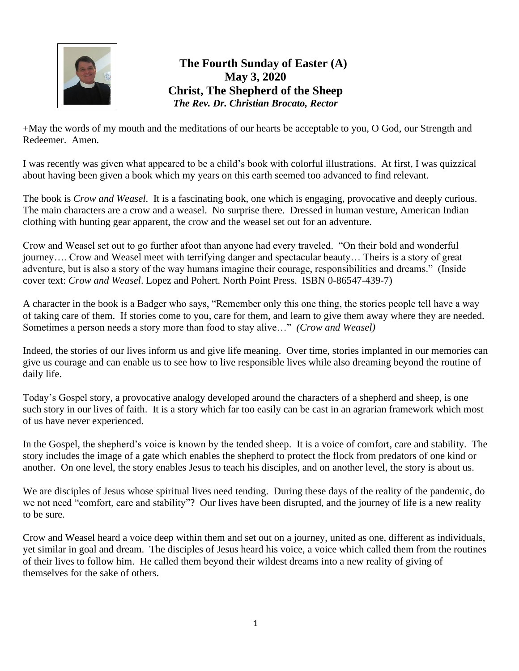

## **The Fourth Sunday of Easter (A) May 3, 2020 Christ, The Shepherd of the Sheep** *The Rev. Dr. Christian Brocato, Rector*

+May the words of my mouth and the meditations of our hearts be acceptable to you, O God, our Strength and Redeemer. Amen.

I was recently was given what appeared to be a child's book with colorful illustrations. At first, I was quizzical about having been given a book which my years on this earth seemed too advanced to find relevant.

The book is *Crow and Weasel*. It is a fascinating book, one which is engaging, provocative and deeply curious. The main characters are a crow and a weasel. No surprise there. Dressed in human vesture, American Indian clothing with hunting gear apparent, the crow and the weasel set out for an adventure.

Crow and Weasel set out to go further afoot than anyone had every traveled. "On their bold and wonderful journey…. Crow and Weasel meet with terrifying danger and spectacular beauty… Theirs is a story of great adventure, but is also a story of the way humans imagine their courage, responsibilities and dreams." (Inside cover text: *Crow and Weasel*. Lopez and Pohert. North Point Press. ISBN 0-86547-439-7)

A character in the book is a Badger who says, "Remember only this one thing, the stories people tell have a way of taking care of them. If stories come to you, care for them, and learn to give them away where they are needed. Sometimes a person needs a story more than food to stay alive…" *(Crow and Weasel)* 

Indeed, the stories of our lives inform us and give life meaning. Over time, stories implanted in our memories can give us courage and can enable us to see how to live responsible lives while also dreaming beyond the routine of daily life.

Today's Gospel story, a provocative analogy developed around the characters of a shepherd and sheep, is one such story in our lives of faith. It is a story which far too easily can be cast in an agrarian framework which most of us have never experienced.

In the Gospel, the shepherd's voice is known by the tended sheep. It is a voice of comfort, care and stability. The story includes the image of a gate which enables the shepherd to protect the flock from predators of one kind or another. On one level, the story enables Jesus to teach his disciples, and on another level, the story is about us.

We are disciples of Jesus whose spiritual lives need tending. During these days of the reality of the pandemic, do we not need "comfort, care and stability"? Our lives have been disrupted, and the journey of life is a new reality to be sure.

Crow and Weasel heard a voice deep within them and set out on a journey, united as one, different as individuals, yet similar in goal and dream. The disciples of Jesus heard his voice, a voice which called them from the routines of their lives to follow him. He called them beyond their wildest dreams into a new reality of giving of themselves for the sake of others.